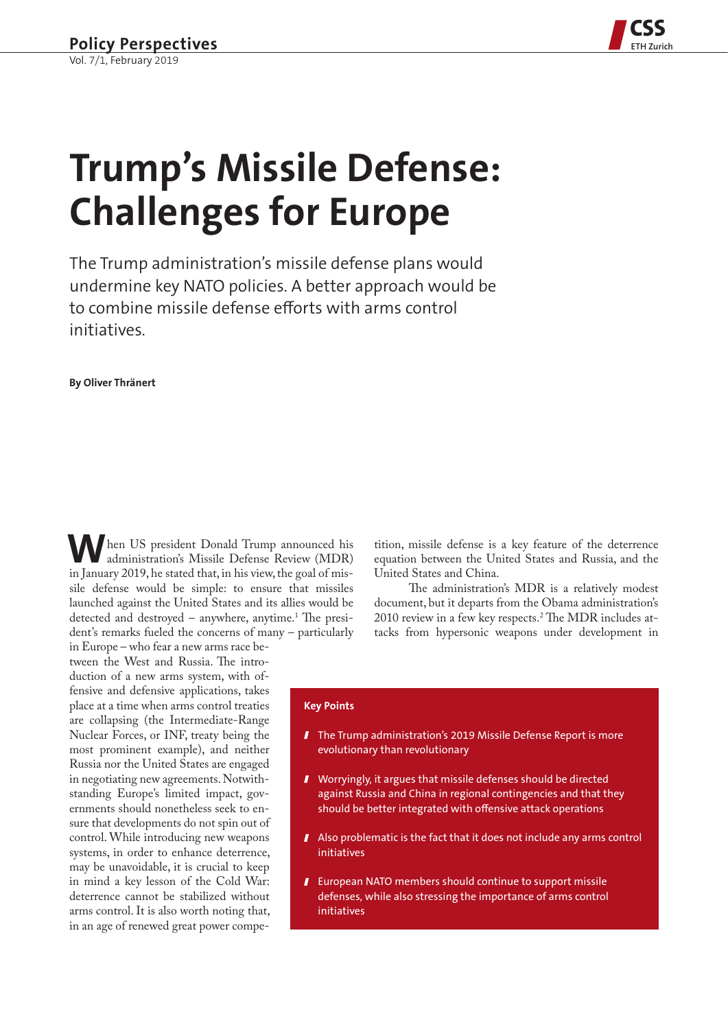

# **Trump's Missile Defense: Challenges for Europe**

The Trump administration's missile defense plans would undermine key NATO policies. A better approach would be to combine missile defense efforts with arms control initiatives.

**By Oliver Thränert**

 **W**hen US president Donald Trump announced his administration's Missile Defense Review (MDR) in January 2019, he stated that, in his view, the goal of missile defense would be simple: to ensure that missiles launched against the United States and its allies would be detected and destroyed – anywhere, anytime.<sup>1</sup> The president's remarks fueled the concerns of many – particularly

in Europe – who fear a new arms race between the West and Russia. The introduction of a new arms system, with offensive and defensive applications, takes place at a time when arms control treaties are collapsing (the Intermediate-Range Nuclear Forces, or INF, treaty being the most prominent example), and neither Russia nor the United States are engaged in negotiating new agreements. Notwithstanding Europe's limited impact, governments should nonetheless seek to ensure that developments do not spin out of control. While introducing new weapons systems, in order to enhance deterrence, may be unavoidable, it is crucial to keep in mind a key lesson of the Cold War: deterrence cannot be stabilized without arms control. It is also worth noting that, in an age of renewed great power compe-

tition, missile defense is a key feature of the deterrence equation between the United States and Russia, and the United States and China.

The administration's MDR is a relatively modest document, but it departs from the Obama administration's 2010 review in a few key respects.2 The MDR includes attacks from hypersonic weapons under development in

### **Key Points**

- **T** The Trump administration's 2019 Missile Defense Report is more evolutionary than revolutionary
- Worryingly, it argues that missile defenses should be directed against Russia and China in regional contingencies and that they should be better integrated with offensive attack operations
- Also problematic is the fact that it does not include any arms control initiatives
- **I** European NATO members should continue to support missile defenses, while also stressing the importance of arms control initiatives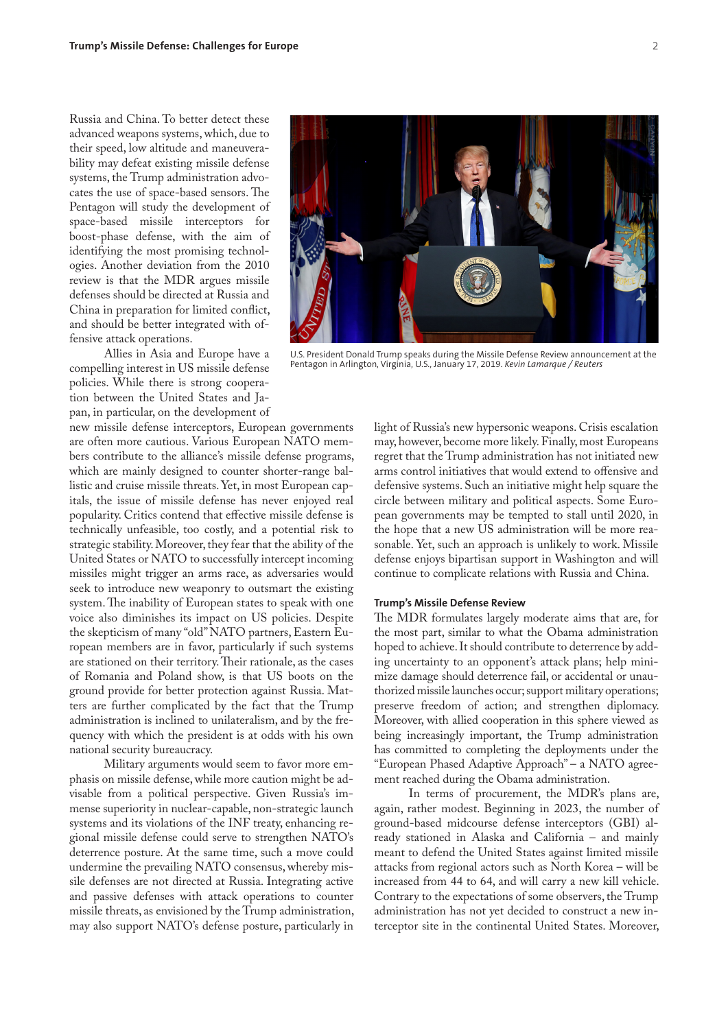Russia and China. To better detect these advanced weapons systems, which, due to their speed, low altitude and maneuverability may defeat existing missile defense systems, the Trump administration advocates the use of space-based sensors. The Pentagon will study the development of space-based missile interceptors for boost-phase defense, with the aim of identifying the most promising technologies. Another deviation from the 2010 review is that the MDR argues missile defenses should be directed at Russia and China in preparation for limited conflict, and should be better integrated with offensive attack operations.

Allies in Asia and Europe have a compelling interest in US missile defense policies. While there is strong cooperation between the United States and Japan, in particular, on the development of

new missile defense interceptors, European governments are often more cautious. Various European NATO members contribute to the alliance's missile defense programs, which are mainly designed to counter shorter-range ballistic and cruise missile threats. Yet, in most European capitals, the issue of missile defense has never enjoyed real popularity. Critics contend that effective missile defense is technically unfeasible, too costly, and a potential risk to strategic stability. Moreover, they fear that the ability of the United States or NATO to successfully intercept incoming missiles might trigger an arms race, as adversaries would seek to introduce new weaponry to outsmart the existing system. The inability of European states to speak with one voice also diminishes its impact on US policies. Despite the skepticism of many "old" NATO partners, Eastern European members are in favor, particularly if such systems are stationed on their territory. Their rationale, as the cases of Romania and Poland show, is that US boots on the ground provide for better protection against Russia. Matters are further complicated by the fact that the Trump administration is inclined to unilateralism, and by the frequency with which the president is at odds with his own national security bureaucracy.

Military arguments would seem to favor more emphasis on missile defense, while more caution might be advisable from a political perspective. Given Russia's immense superiority in nuclear-capable, non-strategic launch systems and its violations of the INF treaty, enhancing regional missile defense could serve to strengthen NATO's deterrence posture. At the same time, such a move could undermine the prevailing NATO consensus, whereby missile defenses are not directed at Russia. Integrating active and passive defenses with attack operations to counter missile threats, as envisioned by the Trump administration, may also support NATO's defense posture, particularly in

light of Russia's new hypersonic weapons. Crisis escalation may, however, become more likely. Finally, most Europeans regret that the Trump administration has not initiated new arms control initiatives that would extend to offensive and defensive systems. Such an initiative might help square the circle between military and political aspects. Some European governments may be tempted to stall until 2020, in the hope that a new US administration will be more reasonable. Yet, such an approach is unlikely to work. Missile defense enjoys bipartisan support in Washington and will continue to complicate relations with Russia and China.

## **Trump's Missile Defense Review**

The MDR formulates largely moderate aims that are, for the most part, similar to what the Obama administration hoped to achieve. It should contribute to deterrence by adding uncertainty to an opponent's attack plans; help minimize damage should deterrence fail, or accidental or unauthorized missile launches occur; support military operations; preserve freedom of action; and strengthen diplomacy. Moreover, with allied cooperation in this sphere viewed as being increasingly important, the Trump administration has committed to completing the deployments under the "European Phased Adaptive Approach" – a NATO agreement reached during the Obama administration.

In terms of procurement, the MDR's plans are, again, rather modest. Beginning in 2023, the number of ground-based midcourse defense interceptors (GBI) already stationed in Alaska and California – and mainly meant to defend the United States against limited missile attacks from regional actors such as North Korea – will be increased from 44 to 64, and will carry a new kill vehicle. Contrary to the expectations of some observers, the Trump administration has not yet decided to construct a new interceptor site in the continental United States. Moreover,



U.S. President Donald Trump speaks during the Missile Defense Review announcement at the Pentagon in Arlington, Virginia, U.S., January 17, 2019. *Kevin Lamarque / Reuters*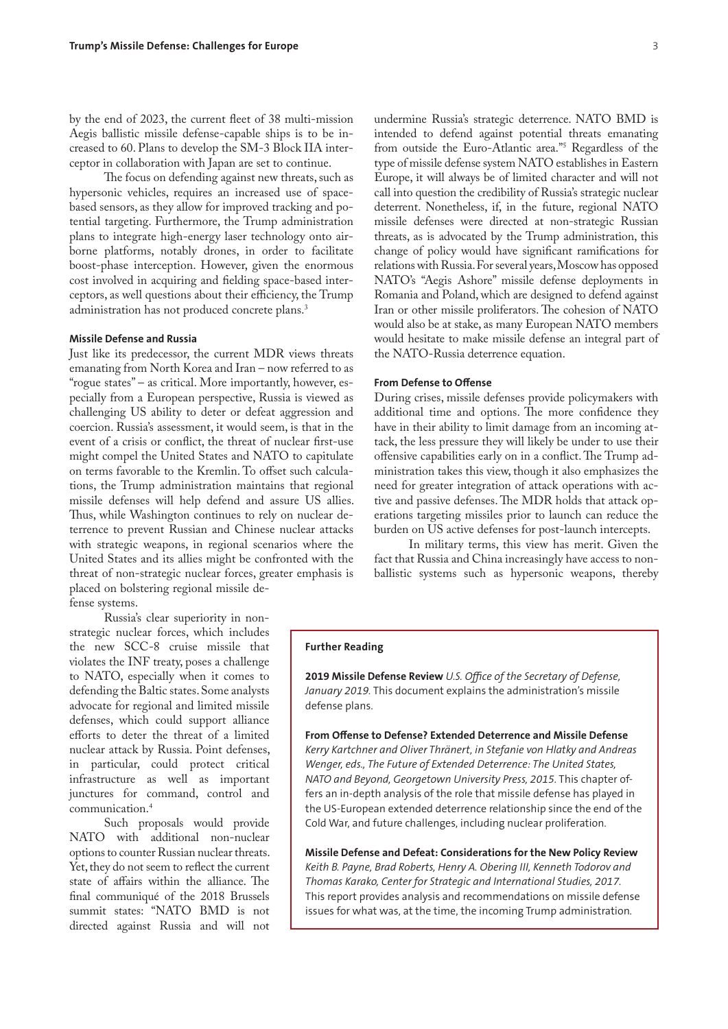by the end of 2023, the current fleet of 38 multi-mission Aegis ballistic missile defense-capable ships is to be increased to 60. Plans to develop the SM-3 Block IIA interceptor in collaboration with Japan are set to continue.

The focus on defending against new threats, such as hypersonic vehicles, requires an increased use of spacebased sensors, as they allow for improved tracking and potential targeting. Furthermore, the Trump administration plans to integrate high-energy laser technology onto airborne platforms, notably drones, in order to facilitate boost-phase interception. However, given the enormous cost involved in acquiring and fielding space-based interceptors, as well questions about their efficiency, the Trump administration has not produced concrete plans.3

# **Missile Defense and Russia**

Just like its predecessor, the current MDR views threats emanating from North Korea and Iran – now referred to as "rogue states" – as critical. More importantly, however, especially from a European perspective, Russia is viewed as challenging US ability to deter or defeat aggression and coercion. Russia's assessment, it would seem, is that in the event of a crisis or conflict, the threat of nuclear first-use might compel the United States and NATO to capitulate on terms favorable to the Kremlin. To offset such calculations, the Trump administration maintains that regional missile defenses will help defend and assure US allies. Thus, while Washington continues to rely on nuclear deterrence to prevent Russian and Chinese nuclear attacks with strategic weapons, in regional scenarios where the United States and its allies might be confronted with the threat of non-strategic nuclear forces, greater emphasis is placed on bolstering regional missile defense systems.

Russia's clear superiority in nonstrategic nuclear forces, which includes the new SCC-8 cruise missile that violates the INF treaty, poses a challenge to NATO, especially when it comes to defending the Baltic states. Some analysts advocate for regional and limited missile defenses, which could support alliance efforts to deter the threat of a limited nuclear attack by Russia. Point defenses, in particular, could protect critical infrastructure as well as important junctures for command, control and communication.4

Such proposals would provide NATO with additional non-nuclear options to counter Russian nuclear threats. Yet, they do not seem to reflect the current state of affairs within the alliance. The final communiqué of the 2018 Brussels summit states: "NATO BMD is not directed against Russia and will not

undermine Russia's strategic deterrence. NATO BMD is intended to defend against potential threats emanating from outside the Euro-Atlantic area."5 Regardless of the type of missile defense system NATO establishes in Eastern Europe, it will always be of limited character and will not call into question the credibility of Russia's strategic nuclear deterrent. Nonetheless, if, in the future, regional NATO missile defenses were directed at non-strategic Russian threats, as is advocated by the Trump administration, this change of policy would have significant ramifications for relations with Russia. For several years, Moscow has opposed NATO's "Aegis Ashore" missile defense deployments in Romania and Poland, which are designed to defend against Iran or other missile proliferators. The cohesion of NATO would also be at stake, as many European NATO members would hesitate to make missile defense an integral part of the NATO-Russia deterrence equation.

### **From Defense to Offense**

During crises, missile defenses provide policymakers with additional time and options. The more confidence they have in their ability to limit damage from an incoming attack, the less pressure they will likely be under to use their offensive capabilities early on in a conflict. The Trump administration takes this view, though it also emphasizes the need for greater integration of attack operations with active and passive defenses. The MDR holds that attack operations targeting missiles prior to launch can reduce the burden on US active defenses for post-launch intercepts.

In military terms, this view has merit. Given the fact that Russia and China increasingly have access to nonballistic systems such as hypersonic weapons, thereby

# **Further Reading**

**2019 Missile Defense Review** *U.S. Office of the Secretary of Defense, January 2019.* This document explains the administration's missile defense plans.

**From Offense to Defense? Extended Deterrence and Missile Defense** *Kerry Kartchner and Oliver Thränert, in Stefanie von Hlatky and Andreas Wenger, eds., The Future of Extended Deterrence: The United States, NATO and Beyond, Georgetown University Press, 2015.* This chapter offers an in-depth analysis of the role that missile defense has played in the US-European extended deterrence relationship since the end of the Cold War, and future challenges, including nuclear proliferation.

**Missile Defense and Defeat: Considerations for the New Policy Review**  *Keith B. Payne, Brad Roberts, Henry A. Obering III, Kenneth Todorov and Thomas Karako, Center for Strategic and International Studies, 2017.*  This report provides analysis and recommendations on missile defense issues for what was, at the time, the incoming Trump administration.